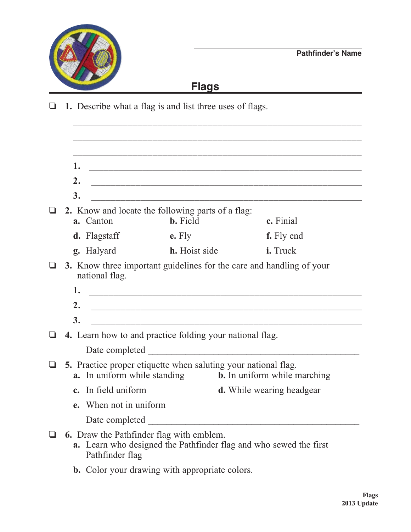

## **Flags**

o **1.** Describe what a flag is and list three uses of flags.

 $\overline{\phantom{a}}$  ,  $\overline{\phantom{a}}$  ,  $\overline{\phantom{a}}$  ,  $\overline{\phantom{a}}$  ,  $\overline{\phantom{a}}$  ,  $\overline{\phantom{a}}$  ,  $\overline{\phantom{a}}$  ,  $\overline{\phantom{a}}$  ,  $\overline{\phantom{a}}$  ,  $\overline{\phantom{a}}$  ,  $\overline{\phantom{a}}$  ,  $\overline{\phantom{a}}$  ,  $\overline{\phantom{a}}$  ,  $\overline{\phantom{a}}$  ,  $\overline{\phantom{a}}$  ,  $\overline{\phantom{a}}$  **1.** \_\_\_\_\_\_\_\_\_\_\_\_\_\_\_\_\_\_\_\_\_\_\_\_\_\_\_\_\_\_\_\_\_\_\_\_\_\_\_\_\_\_\_\_\_\_\_\_\_\_\_\_\_\_\_\_  **2.** \_\_\_\_\_\_\_\_\_\_\_\_\_\_\_\_\_\_\_\_\_\_\_\_\_\_\_\_\_\_\_\_\_\_\_\_\_\_\_\_\_\_\_\_\_\_\_\_\_\_\_\_\_\_\_  **3.** \_\_\_\_\_\_\_\_\_\_\_\_\_\_\_\_\_\_\_\_\_\_\_\_\_\_\_\_\_\_\_\_\_\_\_\_\_\_\_\_\_\_\_\_\_\_\_\_\_\_\_\_\_\_\_ o **2.** Know and locate the following parts of a flag: **a.** Canton **b.** Field **c.** Finial **d.** Flagstaff **e.** Fly **f.** Fly end **g.** Halyard **h.** Hoist side **i.** Truck **3.** Know three important guidelines for the care and handling of your national flag.  **1.** \_\_\_\_\_\_\_\_\_\_\_\_\_\_\_\_\_\_\_\_\_\_\_\_\_\_\_\_\_\_\_\_\_\_\_\_\_\_\_\_\_\_\_\_\_\_\_\_\_\_\_\_\_\_\_\_  **2.** \_\_\_\_\_\_\_\_\_\_\_\_\_\_\_\_\_\_\_\_\_\_\_\_\_\_\_\_\_\_\_\_\_\_\_\_\_\_\_\_\_\_\_\_\_\_\_\_\_\_\_\_\_\_\_  **3.** \_\_\_\_\_\_\_\_\_\_\_\_\_\_\_\_\_\_\_\_\_\_\_\_\_\_\_\_\_\_\_\_\_\_\_\_\_\_\_\_\_\_\_\_\_\_\_\_\_\_\_\_\_\_\_ o **4.** Learn how to and practice folding your national flag. Date completed **b** 5. Practice proper etiquette when saluting your national flag.<br> **a.** In uniform while standing **b.** In uniform while marching **a.** In uniform while standing **c.** In field uniform **d.** While wearing headgear  **e.** When not in uniform Date completed  $\blacksquare$ o **6.** Draw the Pathfinder flag with emblem.  **a.** Learn who designed the Pathfinder flag and who sewed the first Pathfinder flag

**b.** Color your drawing with appropriate colors.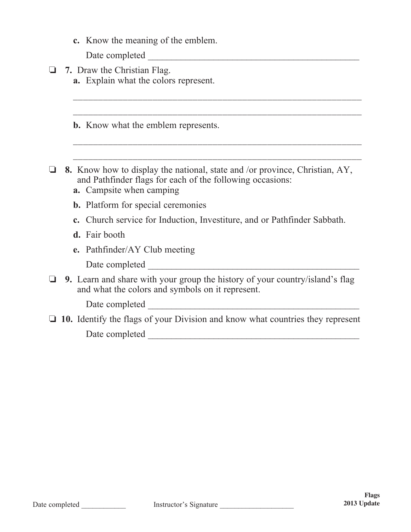**c.** Know the meaning of the emblem.

Date completed \_\_\_\_\_\_\_\_\_\_\_\_\_\_\_\_\_\_\_\_\_\_\_\_\_\_\_\_\_\_\_\_\_\_\_\_\_\_\_\_\_\_\_\_\_

**a** 7. Draw the Christian Flag. **a.** Explain what the colors represent.

**b.** Know what the emblem represents.

**a** 8. Know how to display the national, state and /or province, Christian, AY, and Pathfinder flags for each of the following occasions:

 $\overline{\phantom{a}}$  ,  $\overline{\phantom{a}}$  ,  $\overline{\phantom{a}}$  ,  $\overline{\phantom{a}}$  ,  $\overline{\phantom{a}}$  ,  $\overline{\phantom{a}}$  ,  $\overline{\phantom{a}}$  ,  $\overline{\phantom{a}}$  ,  $\overline{\phantom{a}}$  ,  $\overline{\phantom{a}}$  ,  $\overline{\phantom{a}}$  ,  $\overline{\phantom{a}}$  ,  $\overline{\phantom{a}}$  ,  $\overline{\phantom{a}}$  ,  $\overline{\phantom{a}}$  ,  $\overline{\phantom{a}}$ 

 $\overline{\phantom{a}}$  ,  $\overline{\phantom{a}}$  ,  $\overline{\phantom{a}}$  ,  $\overline{\phantom{a}}$  ,  $\overline{\phantom{a}}$  ,  $\overline{\phantom{a}}$  ,  $\overline{\phantom{a}}$  ,  $\overline{\phantom{a}}$  ,  $\overline{\phantom{a}}$  ,  $\overline{\phantom{a}}$  ,  $\overline{\phantom{a}}$  ,  $\overline{\phantom{a}}$  ,  $\overline{\phantom{a}}$  ,  $\overline{\phantom{a}}$  ,  $\overline{\phantom{a}}$  ,  $\overline{\phantom{a}}$ 

 $\overline{\phantom{a}}$  , and the contract of the contract of the contract of the contract of the contract of the contract of the contract of the contract of the contract of the contract of the contract of the contract of the contrac

- **a.** Campsite when camping
- **b.** Platform for special ceremonies
- **c.** Church service for Induction, Investiture, and or Pathfinder Sabbath.
- **d.** Fair booth
- **e.** Pathfinder/AY Club meeting

Date completed \_\_\_\_\_\_\_\_\_\_\_\_\_\_\_\_\_\_\_\_\_\_\_\_\_\_\_\_\_\_\_\_\_\_\_\_\_\_\_\_\_\_\_\_\_

**9.** Learn and share with your group the history of your country/island's flag and what the colors and symbols on it represent.

Date completed \_\_\_\_\_\_\_\_\_\_\_\_\_\_\_\_\_\_\_\_\_\_\_\_\_\_\_\_\_\_\_\_\_\_\_\_\_\_\_\_\_\_\_\_\_

 $\Box$  10. Identify the flags of your Division and know what countries they represent Date completed \_\_\_\_\_\_\_\_\_\_\_\_\_\_\_\_\_\_\_\_\_\_\_\_\_\_\_\_\_\_\_\_\_\_\_\_\_\_\_\_\_\_\_\_\_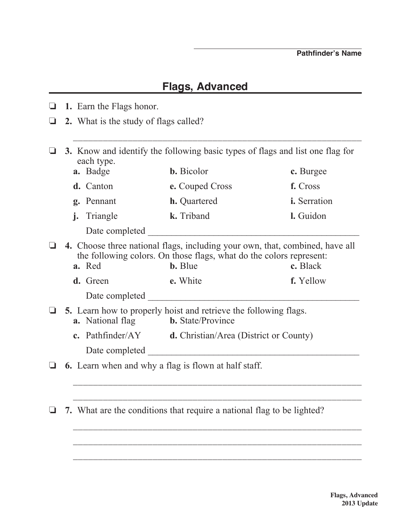## **Flags, Advanced**

o **1.** Earn the Flags honor. **□** 2. What is the study of flags called?  $\overline{\phantom{a}}$  ,  $\overline{\phantom{a}}$  ,  $\overline{\phantom{a}}$  ,  $\overline{\phantom{a}}$  ,  $\overline{\phantom{a}}$  ,  $\overline{\phantom{a}}$  ,  $\overline{\phantom{a}}$  ,  $\overline{\phantom{a}}$  ,  $\overline{\phantom{a}}$  ,  $\overline{\phantom{a}}$  ,  $\overline{\phantom{a}}$  ,  $\overline{\phantom{a}}$  ,  $\overline{\phantom{a}}$  ,  $\overline{\phantom{a}}$  ,  $\overline{\phantom{a}}$  ,  $\overline{\phantom{a}}$ o **3.** Know and identify the following basic types of flags and list one flag for each type. **a.** Badge **b.** Bicolor **c.** Burgee  **d.** Canton **e.** Couped Cross **f.** Cross **g.** Pennant **h.** Quartered **i.** Serration  **j.** Triangle **k.** Triband **l.** Guidon Date completed  $\Box$ o **4.** Choose three national flags, including your own, that, combined, have all the following colors. On those flags, what do the colors represent: **a.** Red **b.** Blue **c.** Black **d.** Green **e.** White **f.** Yellow Date completed  $\Box$ □ 5. Learn how to properly hoist and retrieve the following flags.  **a.** National flag **b.** State/Province  **c.** Pathfinder/AY **d.** Christian/Area (District or County) Date completed  $\Box$  $\Box$  6. Learn when and why a flag is flown at half staff.  $\overline{\phantom{a}}$  ,  $\overline{\phantom{a}}$  ,  $\overline{\phantom{a}}$  ,  $\overline{\phantom{a}}$  ,  $\overline{\phantom{a}}$  ,  $\overline{\phantom{a}}$  ,  $\overline{\phantom{a}}$  ,  $\overline{\phantom{a}}$  ,  $\overline{\phantom{a}}$  ,  $\overline{\phantom{a}}$  ,  $\overline{\phantom{a}}$  ,  $\overline{\phantom{a}}$  ,  $\overline{\phantom{a}}$  ,  $\overline{\phantom{a}}$  ,  $\overline{\phantom{a}}$  ,  $\overline{\phantom{a}}$  \_\_\_\_\_\_\_\_\_\_\_\_\_\_\_\_\_\_\_\_\_\_\_\_\_\_\_\_\_\_\_\_\_\_\_\_\_\_\_\_\_\_\_\_\_\_\_\_\_\_\_\_\_\_\_\_\_\_  $\Box$  7. What are the conditions that require a national flag to be lighted?  $\overline{\phantom{a}}$  ,  $\overline{\phantom{a}}$  ,  $\overline{\phantom{a}}$  ,  $\overline{\phantom{a}}$  ,  $\overline{\phantom{a}}$  ,  $\overline{\phantom{a}}$  ,  $\overline{\phantom{a}}$  ,  $\overline{\phantom{a}}$  ,  $\overline{\phantom{a}}$  ,  $\overline{\phantom{a}}$  ,  $\overline{\phantom{a}}$  ,  $\overline{\phantom{a}}$  ,  $\overline{\phantom{a}}$  ,  $\overline{\phantom{a}}$  ,  $\overline{\phantom{a}}$  ,  $\overline{\phantom{a}}$ 

 $\overline{\phantom{a}}$  ,  $\overline{\phantom{a}}$  ,  $\overline{\phantom{a}}$  ,  $\overline{\phantom{a}}$  ,  $\overline{\phantom{a}}$  ,  $\overline{\phantom{a}}$  ,  $\overline{\phantom{a}}$  ,  $\overline{\phantom{a}}$  ,  $\overline{\phantom{a}}$  ,  $\overline{\phantom{a}}$  ,  $\overline{\phantom{a}}$  ,  $\overline{\phantom{a}}$  ,  $\overline{\phantom{a}}$  ,  $\overline{\phantom{a}}$  ,  $\overline{\phantom{a}}$  ,  $\overline{\phantom{a}}$ 

 $\overline{\phantom{a}}$  ,  $\overline{\phantom{a}}$  ,  $\overline{\phantom{a}}$  ,  $\overline{\phantom{a}}$  ,  $\overline{\phantom{a}}$  ,  $\overline{\phantom{a}}$  ,  $\overline{\phantom{a}}$  ,  $\overline{\phantom{a}}$  ,  $\overline{\phantom{a}}$  ,  $\overline{\phantom{a}}$  ,  $\overline{\phantom{a}}$  ,  $\overline{\phantom{a}}$  ,  $\overline{\phantom{a}}$  ,  $\overline{\phantom{a}}$  ,  $\overline{\phantom{a}}$  ,  $\overline{\phantom{a}}$